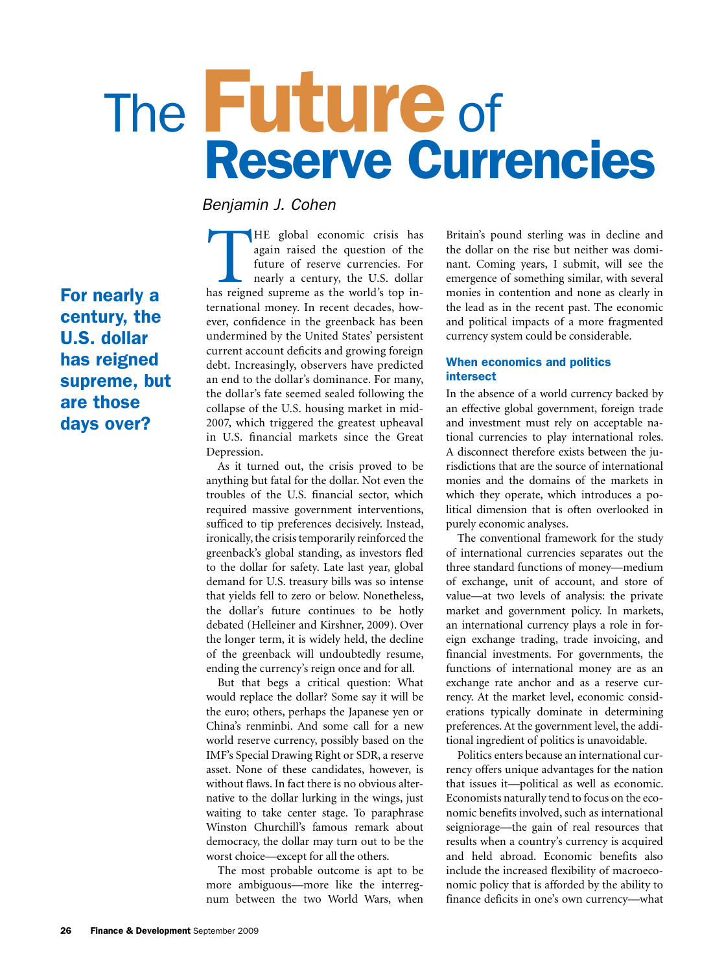# The **Future** of<br>Reserve Currencies

*Benjamin J. Cohen*

For nearly a century, the U.S. dollar has reigned supreme, but are those days over?

THE global economic crisis has again raised the question of the future of reserve currencies. For nearly a century, the U.S. dollar has reigned supreme as the world's top inagain raised the question of the future of reserve currencies. For nearly a century, the U.S. dollar ternational money. In recent decades, however, confidence in the greenback has been undermined by the United States' persistent current account deficits and growing foreign debt. Increasingly, observers have predicted an end to the dollar's dominance. For many, the dollar's fate seemed sealed following the collapse of the U.S. housing market in mid-2007, which triggered the greatest upheaval in U.S. financial markets since the Great Depression.

As it turned out, the crisis proved to be anything but fatal for the dollar. Not even the troubles of the U.S. financial sector, which required massive government interventions, sufficed to tip preferences decisively. Instead, ironically, the crisis temporarily reinforced the greenback's global standing, as investors fled to the dollar for safety. Late last year, global demand for U.S. treasury bills was so intense that yields fell to zero or below. Nonetheless, the dollar's future continues to be hotly debated (Helleiner and Kirshner, 2009). Over the longer term, it is widely held, the decline of the greenback will undoubtedly resume, ending the currency's reign once and for all.-

But that begs a critical question: What would replace the dollar? Some say it will be the euro; others, perhaps the Japanese yen or China's renminbi. And some call for a new world reserve currency, possibly based on the IMF's Special Drawing Right or SDR, a reserve asset. None of these candidates, however, is without flaws. In fact there is no obvious alternative to the dollar lurking in the wings, just waiting to take center stage. To paraphrase Winston Churchill's famous remark about democracy, the dollar may turn out to be the worst choice—except for all the others.

The most probable outcome is apt to be more ambiguous—more like the interregnum between the two World Wars, when Britain's pound sterling was in decline and the dollar on the rise but neither was dominant. Coming years, I submit, will see the emergence of something similar, with several monies in contention and none as clearly in the lead as in the recent past. The economic and political impacts of a more fragmented currency system could be considerable.-

### When economics and politics intersect

In the absence of a world currency backed by an effective global government, foreign trade and investment must rely on acceptable national currencies to play international roles. A disconnect therefore exists between the jurisdictions that are the source of international monies and the domains of the markets in which they operate, which introduces a political dimension that is often overlooked in purely economic analyses.-

The conventional framework for the study of international currencies separates out the three standard functions of money—medium of exchange, unit of account, and store of value—at two levels of analysis: the private market and government policy. In markets, an international currency plays a role in foreign exchange trading, trade invoicing, and financial investments. For governments, the functions of international money are as an exchange rate anchor and as a reserve currency. At the market level, economic considerations typically dominate in determining preferences. At the government level, the additional ingredient of politics is unavoidable.-

Politics enters because an international currency offers unique advantages for the nation that issues it—political as well as economic. Economists naturally tend to focus on the economic benefits involved, such as international seigniorage—the gain of real resources that results when a country's currency is acquired and held abroad. Economic benefits also include the increased flexibility of macroeconomic policy that is afforded by the ability to finance deficits in one's own currency—what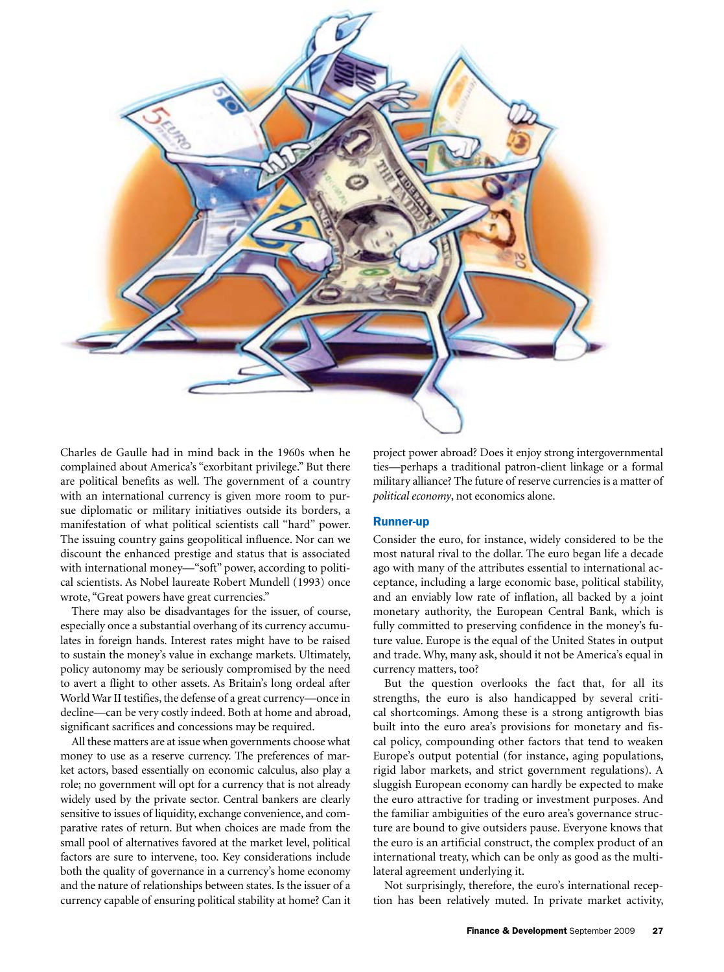

Charles de Gaulle had in mind back in the 1960s when he complained about America's "exorbitant privilege." But there are political benefits as well. The government of a country with an international currency is given more room to pursue diplomatic or military initiatives outside its borders, a manifestation of what political scientists call "hard" power. The issuing country gains geopolitical influence. Nor can we discount the enhanced prestige and status that is associated with international money—"soft" power, according to political scientists. As Nobel laureate Robert Mundell (1993) once wrote, "Great powers have great currencies."

There may also be disadvantages for the issuer, of course, especially once a substantial overhang of its currency accumulates in foreign hands. Interest rates might have to be raised to sustain the money's value in exchange markets. Ultimately, policy autonomy may be seriously compromised by the need to avert a flight to other assets. As Britain's long ordeal after World War II testifies, the defense of a great currency—once in decline—can be very costly indeed. Both at home and abroad, significant sacrifices and concessions may be required.

All these matters are at issue when governments choose what money to use as a reserve currency. The preferences of market actors, based essentially on economic calculus, also play a role; no government will opt for a currency that is not already widely used by the private sector. Central bankers are clearly sensitive to issues of liquidity, exchange convenience, and comparative rates of return. But when choices are made from the small pool of alternatives favored at the market level, political factors are sure to intervene, too. Key considerations include both the quality of governance in a currency's home economy and the nature of relationships between states. Is the issuer of a currency capable of ensuring political stability at home? Can it

project power abroad? Does it enjoy strong intergovernmental ties—perhaps a traditional patron-client linkage or a formal military alliance? The future of reserve currencies is a matter of *political economy*, not economics alone.

### Runner-up

Consider the euro, for instance, widely considered to be the most natural rival to the dollar. The euro began life a decade ago with many of the attributes essential to international acceptance, including a large economic base, political stability, and an enviably low rate of inflation, all backed by a joint monetary authority, the European Central Bank, which is fully committed to preserving confidence in the money's future value. Europe is the equal of the United States in output and trade. Why, many ask, should it not be America's equal in currency matters, too?

But the question overlooks the fact that, for all its strengths, the euro is also handicapped by several critical shortcomings. Among these is a strong antigrowth bias built into the euro area's provisions for monetary and fiscal policy, compounding other factors that tend to weaken Europe's output potential (for instance, aging populations, rigid labor markets, and strict government regulations). A sluggish European economy can hardly be expected to make the euro attractive for trading or investment purposes. And the familiar ambiguities of the euro area's governance structure are bound to give outsiders pause. Everyone knows that the euro is an artificial construct, the complex product of an international treaty, which can be only as good as the multilateral agreement underlying it.-

Not surprisingly, therefore, the euro's international reception has been relatively muted. In private market activity,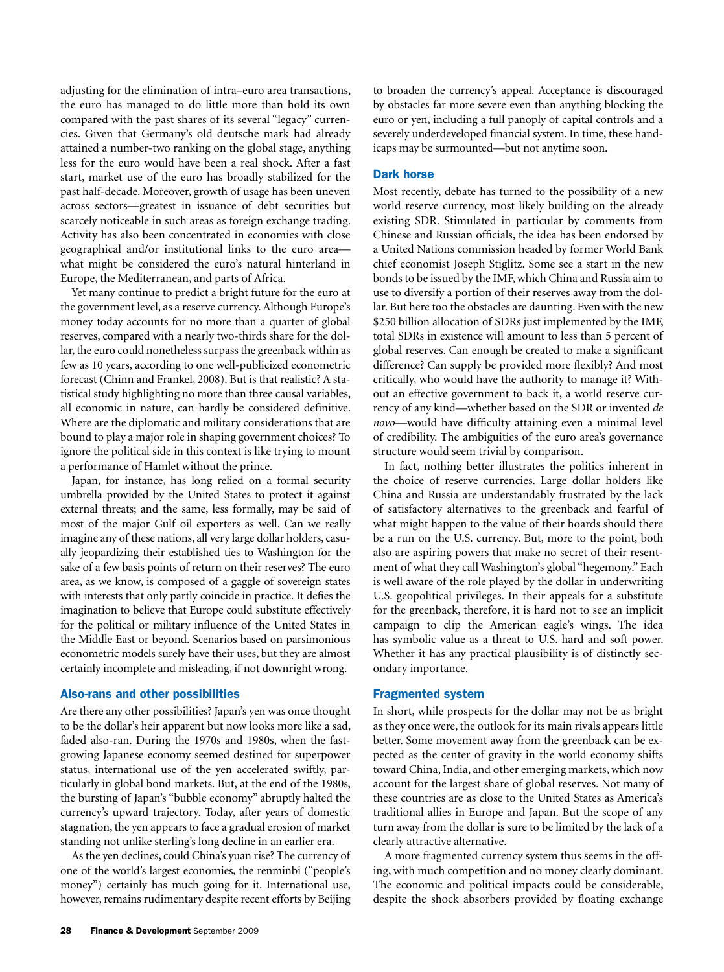adjusting for the elimination of intra–euro area transactions, the euro has managed to do little more than hold its own compared with the past shares of its several "legacy" currencies. Given that Germany's old deutsche mark had already attained a number-two ranking on the global stage, anything less for the euro would have been a real shock. After a fast start, market use of the euro has broadly stabilized for the past half-decade. Moreover, growth of usage has been uneven across sectors—greatest in issuance of debt securities but scarcely noticeable in such areas as foreign exchange trading. Activity has also been concentrated in economies with close geographical and/or institutional links to the euro area what might be considered the euro's natural hinterland in Europe, the Mediterranean, and parts of Africa.

Yet many continue to predict a bright future for the euro at the government level, as a reserve currency. Although Europe's money today accounts for no more than a quarter of global reserves, compared with a nearly two-thirds share for the dollar, the euro could nonetheless surpass the greenback within as few as 10 years, according to one well-publicized econometric forecast (Chinn and Frankel, 2008). But is that realistic? A statistical study highlighting no more than three causal variables, all economic in nature, can hardly be considered definitive. Where are the diplomatic and military considerations that are bound to play a major role in shaping government choices? To ignore the political side in this context is like trying to mount a performance of Hamlet without the prince.

Japan, for instance, has long relied on a formal security umbrella provided by the United States to protect it against external threats; and the same, less formally, may be said of most of the major Gulf oil exporters as well. Can we really imagine any of these nations, all very large dollar holders, casually jeopardizing their established ties to Washington for the sake of a few basis points of return on their reserves? The euro area, as we know, is composed of a gaggle of sovereign states with interests that only partly coincide in practice. It defies the imagination to believe that Europe could substitute effectively for the political or military influence of the United States in the Middle East or beyond. Scenarios based on parsimonious econometric models surely have their uses, but they are almost certainly incomplete and misleading, if not downright wrong.-

### Also-rans and other possibilities

Are there any other possibilities? Japan's yen was once thought to be the dollar's heir apparent but now looks more like a sad, faded also-ran. During the 1970s and 1980s, when the fastgrowing Japanese economy seemed destined for superpower status, international use of the yen accelerated swiftly, particularly in global bond markets. But, at the end of the 1980s, the bursting of Japan's "bubble economy" abruptly halted the currency's upward trajectory. Today, after years of domestic stagnation, the yen appears to face a gradual erosion of market standing not unlike sterling's long decline in an earlier era.-

As the yen declines, could China's yuan rise? The currency of one of the world's largest economies, the renminbi ("people's money") certainly has much going for it. International use, however, remains rudimentary despite recent efforts by Beijing

to broaden the currency's appeal. Acceptance is discouraged by obstacles far more severe even than anything blocking the euro or yen, including a full panoply of capital controls and a severely underdeveloped financial system. In time, these handicaps may be surmounted—but not anytime soon.-

### Dark horse

Most recently, debate has turned to the possibility of a new world reserve currency, most likely building on the already existing SDR. Stimulated in particular by comments from Chinese and Russian officials, the idea has been endorsed by a United Nations commission headed by former World Bank chief economist Joseph Stiglitz. Some see a start in the new bonds to be issued by the IMF, which China and Russia aim to use to diversify a portion of their reserves away from the dollar. But here too the obstacles are daunting. Even with the new \$250 billion allocation of SDRs just implemented by the IMF, total SDRs in existence will amount to less than 5 percent of global reserves. Can enough be created to make a significant difference? Can supply be provided more flexibly? And most critically, who would have the authority to manage it? Without an effective government to back it, a world reserve currency of any kind—whether based on the SDR or invented *de novo*—would have difficulty attaining even a minimal level of credibility. The ambiguities of the euro area's governance structure would seem trivial by comparison.-

In fact, nothing better illustrates the politics inherent in the choice of reserve currencies. Large dollar holders like China and Russia are understandably frustrated by the lack of satisfactory alternatives to the greenback and fearful of what might happen to the value of their hoards should there be a run on the U.S. currency. But, more to the point, both also are aspiring powers that make no secret of their resentment of what they call Washington's global "hegemony." Each is well aware of the role played by the dollar in underwriting U.S. geopolitical privileges. In their appeals for a substitute for the greenback, therefore, it is hard not to see an implicit campaign to clip the American eagle's wings. The idea has symbolic value as a threat to U.S. hard and soft power. Whether it has any practical plausibility is of distinctly secondary importance.

### Fragmented system

In short, while prospects for the dollar may not be as bright as they once were, the outlook for its main rivals appears little better. Some movement away from the greenback can be expected as the center of gravity in the world economy shifts toward China, India, and other emerging markets, which now account for the largest share of global reserves. Not many of these countries are as close to the United States as America's traditional allies in Europe and Japan. But the scope of any turn away from the dollar is sure to be limited by the lack of a clearly attractive alternative.

A more fragmented currency system thus seems in the offing, with much competition and no money clearly dominant. The economic and political impacts could be considerable, despite the shock absorbers provided by floating exchange